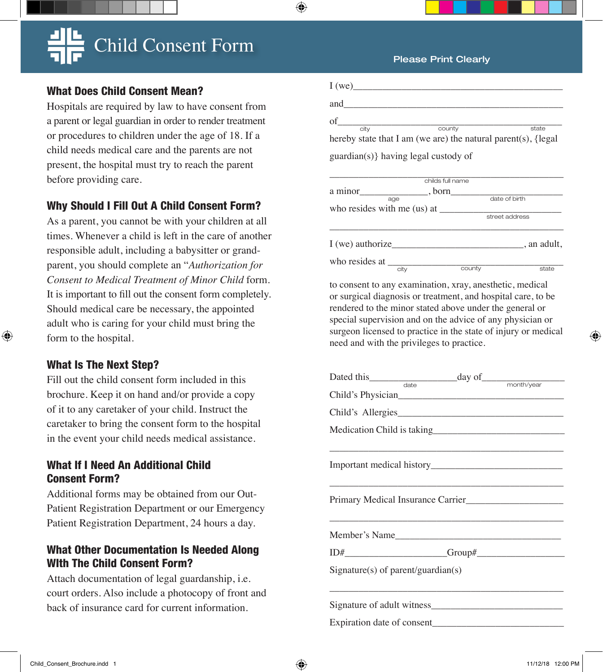## Child Consent Form

#### What Does Child Consent Mean?

Hospitals are required by law to have consent from a parent or legal guardian in order to render treatment or procedures to children under the age of 18. If a child needs medical care and the parents are not present, the hospital must try to reach the parent before providing care.

#### Why Should I Fill Out A Child Consent Form?

As a parent, you cannot be with your children at all times. Whenever a child is left in the care of another responsible adult, including a babysitter or grandparent, you should complete an "*Authorization for Consent to Medical Treatment of Minor Child* form. It is important to fill out the consent form completely. Should medical care be necessary, the appointed adult who is caring for your child must bring the form to the hospital.

### What Is The Next Step?

Fill out the child consent form included in this brochure. Keep it on hand and/or provide a copy of it to any caretaker of your child. Instruct the caretaker to bring the consent form to the hospital in the event your child needs medical assistance.

### What If I Need An Additional Child Consent Form?

Additional forms may be obtained from our Out-Patient Registration Department or our Emergency Patient Registration Department, 24 hours a day.

### What Other Documentation Is Needed Along WIth The Child Consent Form?

Attach documentation of legal guardanship, i.e. court orders. Also include a photocopy of front and back of insurance card for current information.

#### Please Print Clearly

| of                                                                               | county           | state          |  |  |  |
|----------------------------------------------------------------------------------|------------------|----------------|--|--|--|
| city<br>hereby state that I am (we are) the natural parent(s), $\{ \text{legal}$ |                  |                |  |  |  |
| guardian(s)} having legal custody of                                             |                  |                |  |  |  |
|                                                                                  |                  |                |  |  |  |
|                                                                                  | childs full name |                |  |  |  |
|                                                                                  |                  |                |  |  |  |
| age                                                                              |                  | date of birth  |  |  |  |
| who resides with me $(us)$ at $\_\_$                                             |                  |                |  |  |  |
|                                                                                  |                  | street address |  |  |  |
|                                                                                  |                  |                |  |  |  |
|                                                                                  |                  |                |  |  |  |

who resides at  $\frac{C_{\text{ctiv}}}{C_{\text{ctiv}}}$  county state

to consent to any examination, xray, anesthetic, medical or surgical diagnosis or treatment, and hospital care, to be rendered to the minor stated above under the general or special supervision and on the advice of any physician or surgeon licensed to practice in the state of injury or medical need and with the privileges to practice.

city county state

| Dated this date day of month/year |  |  |
|-----------------------------------|--|--|
| Child's Physician                 |  |  |
|                                   |  |  |
|                                   |  |  |
|                                   |  |  |
|                                   |  |  |
|                                   |  |  |
|                                   |  |  |
| $Sigma(x)$ of parent/guardian(s)  |  |  |
|                                   |  |  |
|                                   |  |  |